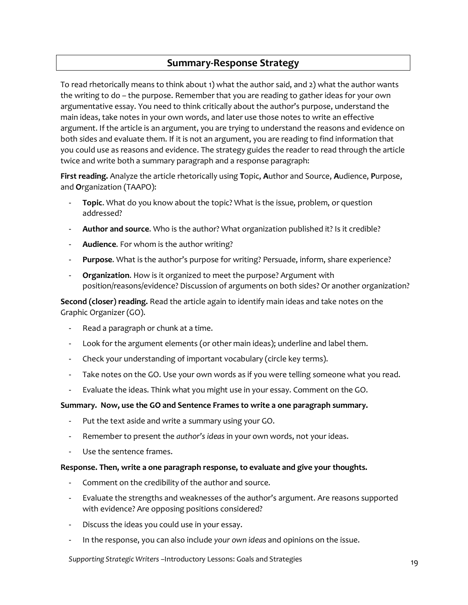# **Summary-Response Strategy**

To read rhetorically means to think about 1) what the author said, and 2) what the author wants the writing to do – the purpose. Remember that you are reading to gather ideas for your own argumentative essay. You need to think critically about the author's purpose, understand the main ideas, take notes in your own words, and later use those notes to write an effective argument. If the article is an argument, you are trying to understand the reasons and evidence on both sides and evaluate them. If it is not an argument, you are reading to find information that you could use as reasons and evidence. The strategy guides the reader to read through the article twice and write both a summary paragraph and a response paragraph:

**First reading.** Analyze the article rhetorically using **T**opic, **A**uthor and Source, **A**udience, **P**urpose, and **O**rganization (TAAPO):

- **Topic**. What do you know about the topic? What is the issue, problem, or question addressed?
- **Author and source**. Who is the author? What organization published it? Is it credible?
- **Audience**. For whom is the author writing?
- **Purpose**. What is the author's purpose for writing? Persuade, inform, share experience?
- **Organization**. How is it organized to meet the purpose? Argument with position/reasons/evidence? Discussion of arguments on both sides? Or another organization?

**Second (closer) reading.** Read the article again to identify main ideas and take notes on the Graphic Organizer (GO).

- Read a paragraph or chunk at a time.
- Look for the argument elements (or other main ideas); underline and label them.
- Check your understanding of important vocabulary (circle key terms).
- Take notes on the GO. Use your own words as if you were telling someone what you read.
- Evaluate the ideas. Think what you might use in your essay. Comment on the GO.

#### **Summary. Now, use the GO and Sentence Frames to write a one paragraph summary.**

- Put the text aside and write a summary using your GO.
- Remember to present the *author's ideas* in your own words, not your ideas.
- Use the sentence frames.

#### **Response. Then, write a one paragraph response, to evaluate and give your thoughts.**

- Comment on the credibility of the author and source.
- Evaluate the strengths and weaknesses of the author's argument. Are reasons supported with evidence? Are opposing positions considered?
- Discuss the ideas you could use in your essay.
- In the response, you can also include *your own ideas* and opinions on the issue.

*Supporting Strategic Writers –Introductory Lessons: Goals and Strategies* 19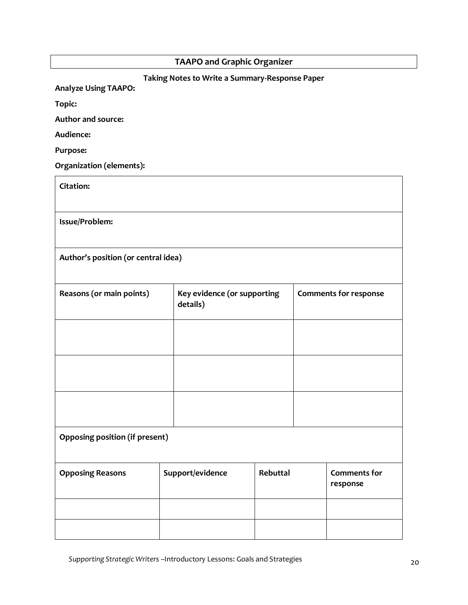|                                     |  | <b>TAAPO and Graphic Organizer</b>             |          |                              |                                 |
|-------------------------------------|--|------------------------------------------------|----------|------------------------------|---------------------------------|
|                                     |  | Taking Notes to Write a Summary-Response Paper |          |                              |                                 |
| <b>Analyze Using TAAPO:</b>         |  |                                                |          |                              |                                 |
| <b>Topic:</b>                       |  |                                                |          |                              |                                 |
| Author and source:                  |  |                                                |          |                              |                                 |
| Audience:                           |  |                                                |          |                              |                                 |
| Purpose:                            |  |                                                |          |                              |                                 |
| Organization (elements):            |  |                                                |          |                              |                                 |
| <b>Citation:</b>                    |  |                                                |          |                              |                                 |
|                                     |  |                                                |          |                              |                                 |
| Issue/Problem:                      |  |                                                |          |                              |                                 |
|                                     |  |                                                |          |                              |                                 |
|                                     |  |                                                |          |                              |                                 |
| Author's position (or central idea) |  |                                                |          |                              |                                 |
|                                     |  |                                                |          |                              |                                 |
| Reasons (or main points)            |  | Key evidence (or supporting<br>details)        |          | <b>Comments for response</b> |                                 |
|                                     |  |                                                |          |                              |                                 |
|                                     |  |                                                |          |                              |                                 |
|                                     |  |                                                |          |                              |                                 |
|                                     |  |                                                |          |                              |                                 |
|                                     |  |                                                |          |                              |                                 |
|                                     |  |                                                |          |                              |                                 |
|                                     |  |                                                |          |                              |                                 |
| Opposing position (if present)      |  |                                                |          |                              |                                 |
|                                     |  |                                                |          |                              |                                 |
|                                     |  |                                                |          |                              |                                 |
| <b>Opposing Reasons</b>             |  | Support/evidence                               | Rebuttal |                              | <b>Comments for</b><br>response |
|                                     |  |                                                |          |                              |                                 |
|                                     |  |                                                |          |                              |                                 |
|                                     |  |                                                |          |                              |                                 |
|                                     |  |                                                |          |                              |                                 |

*Supporting Strategic Writers –*Introductory Lessons: Goals and Strategies 20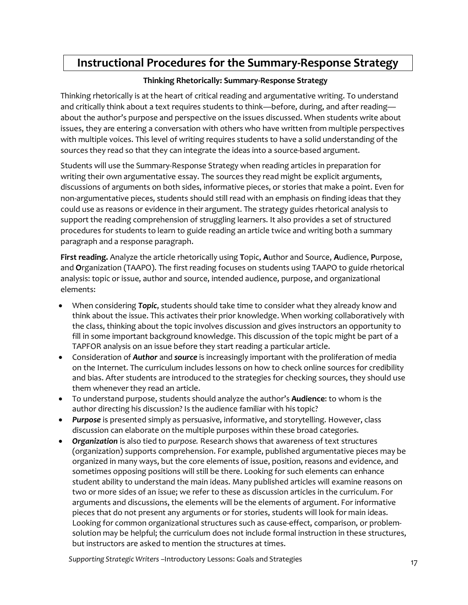# **Instructional Procedures for the Summary-Response Strategy**

#### **Thinking Rhetorically: Summary-Response Strategy**

Thinking rhetorically is at the heart of critical reading and argumentative writing. To understand and critically think about a text requires students to think—before, during, and after reading about the author's purpose and perspective on the issues discussed. When students write about issues, they are entering a conversation with others who have written from multiple perspectives with multiple voices. This level of writing requires students to have a solid understanding of the sources they read so that they can integrate the ideas into a source-based argument.

Students will use the Summary-Response Strategy when reading articles in preparation for writing their own argumentative essay. The sources they read might be explicit arguments, discussions of arguments on both sides, informative pieces, or stories that make a point. Even for non-argumentative pieces, students should still read with an emphasis on finding ideas that they could use as reasons or evidence in their argument. The strategy guides rhetorical analysis to support the reading comprehension of struggling learners. It also provides a set of structured procedures for students to learn to guide reading an article twice and writing both a summary paragraph and a response paragraph.

**First reading.** Analyze the article rhetorically using **T**opic, **A**uthor and Source, **A**udience, **P**urpose, and **O**rganization (TAAPO). The first reading focuses on students using TAAPO to guide rhetorical analysis: topic or issue, author and source, intended audience, purpose, and organizational elements:

- When considering *Topic*, students should take time to consider what they already know and think about the issue. This activates their prior knowledge. When working collaboratively with the class, thinking about the topic involves discussion and gives instructors an opportunity to fill in some important background knowledge. This discussion of the topic might be part of a TAPFOR analysis on an issue before they start reading a particular article.
- Consideration of *Author* and *source* is increasingly important with the proliferation of media on the Internet. The curriculum includes lessons on how to check online sources for credibility and bias. After students are introduced to the strategies for checking sources, they should use them whenever they read an article.
- To understand purpose, students should analyze the author's **Audience**: to whom is the author directing his discussion? Is the audience familiar with his topic?
- *Purpose* is presented simply as persuasive, informative, and storytelling. However, class discussion can elaborate on the multiple purposes within these broad categories.
- *Organization* is also tied to *purpose.* Research shows that awareness of text structures (organization) supports comprehension. For example, published argumentative pieces may be organized in many ways, but the core elements of issue, position, reasons and evidence, and sometimes opposing positions will still be there. Looking for such elements can enhance student ability to understand the main ideas. Many published articles will examine reasons on two or more sides of an issue; we refer to these as discussion articles in the curriculum. For arguments and discussions, the elements will be the elements of argument. For informative pieces that do not present any arguments or for stories, students will look for main ideas. Looking for common organizational structures such as cause-effect, comparison, or problemsolution may be helpful; the curriculum does not include formal instruction in these structures, but instructors are asked to mention the structures at times.

*Supporting Strategic Writers –Introductory Lessons: Goals and Strategies* 17